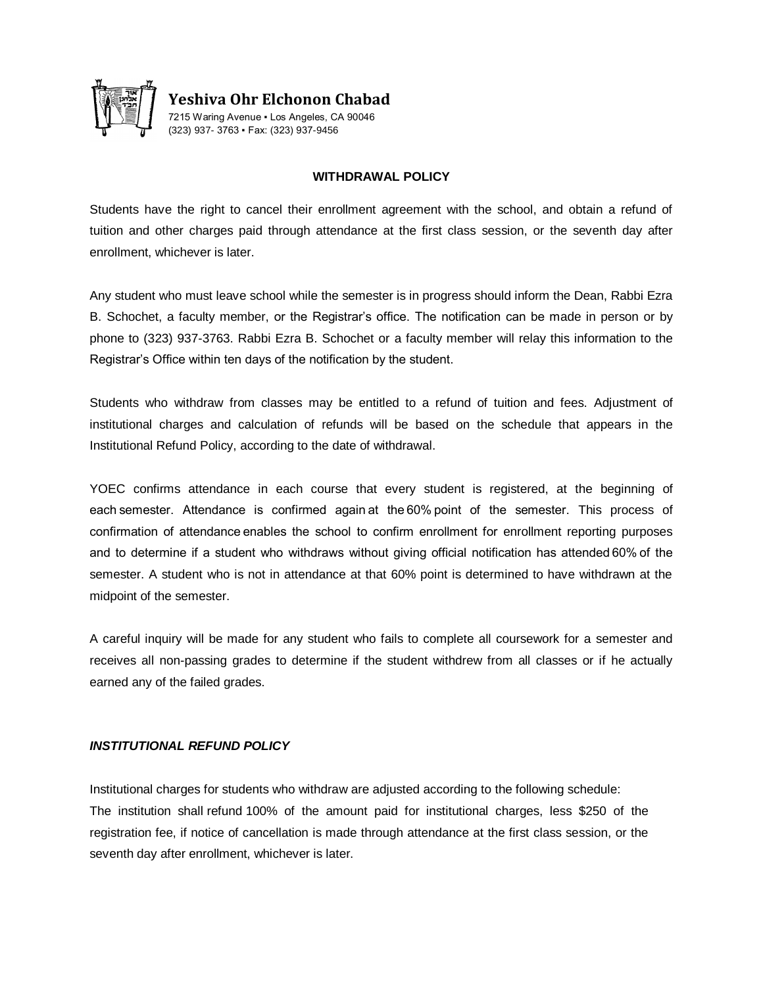

**Yeshiva Ohr Elchonon Chabad** 7215 Waring Avenue ▪ Los Angeles, CA 90046 (323) 937- 3763 ▪ Fax: (323) 937-9456

#### **WITHDRAWAL POLICY**

Students have the right to cancel their enrollment agreement with the school, and obtain a refund of tuition and other charges paid through attendance at the first class session, or the seventh day after enrollment, whichever is later.

Any student who must leave school while the semester is in progress should inform the Dean, Rabbi Ezra B. Schochet, a faculty member, or the Registrar's office. The notification can be made in person or by phone to (323) 937-3763. Rabbi Ezra B. Schochet or a faculty member will relay this information to the Registrar's Office within ten days of the notification by the student.

Students who withdraw from classes may be entitled to a refund of tuition and fees. Adjustment of institutional charges and calculation of refunds will be based on the schedule that appears in the Institutional Refund Policy, according to the date of withdrawal.

YOEC confirms attendance in each course that every student is registered, at the beginning of each semester. Attendance is confirmed again at the 60% point of the semester. This process of confirmation of attendance enables the school to confirm enrollment for enrollment reporting purposes and to determine if a student who withdraws without giving official notification has attended 60% of the semester. A student who is not in attendance at that 60% point is determined to have withdrawn at the midpoint of the semester.

A careful inquiry will be made for any student who fails to complete all coursework for a semester and receives all non-passing grades to determine if the student withdrew from all classes or if he actually earned any of the failed grades.

### *INSTITUTIONAL REFUND POLICY*

Institutional charges for students who withdraw are adjusted according to the following schedule: The institution shall refund 100% of the amount paid for institutional charges, less \$250 of the registration fee, if notice of cancellation is made through attendance at the first class session, or the seventh day after enrollment, whichever is later.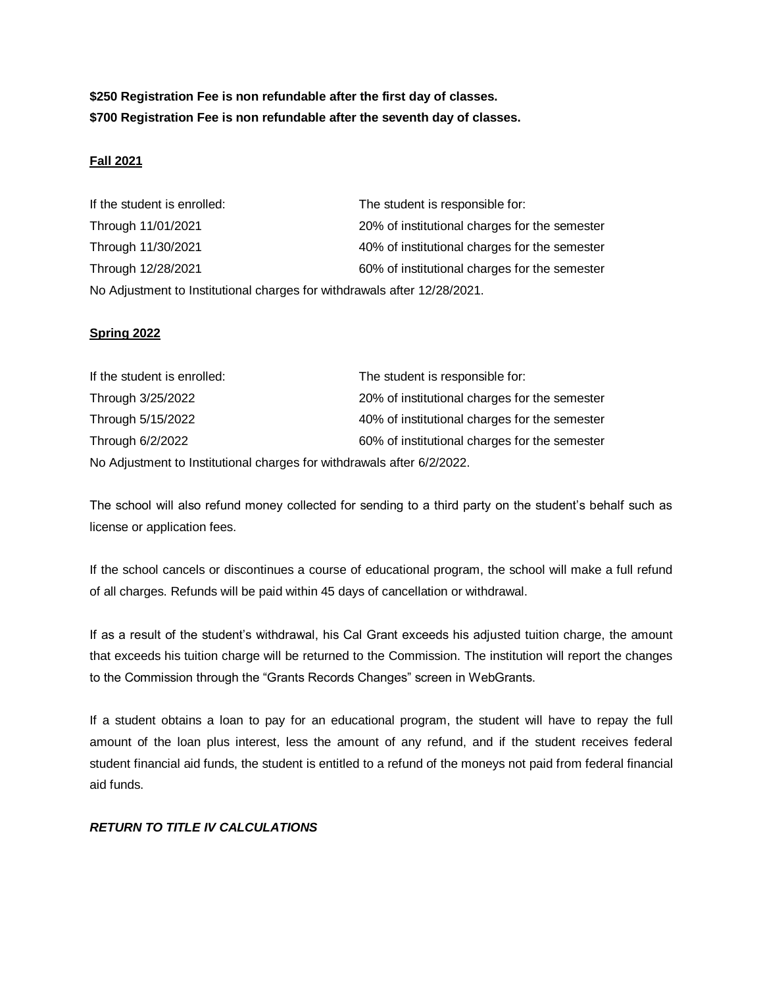**\$250 Registration Fee is non refundable after the first day of classes. \$700 Registration Fee is non refundable after the seventh day of classes.**

# **Fall 2021**

If the student is enrolled: The student is responsible for: Through 11/01/2021 20% of institutional charges for the semester Through 11/30/2021 **40% of institutional charges for the semester** Through 12/28/2021 60% of institutional charges for the semester No Adjustment to Institutional charges for withdrawals after 12/28/2021.

## **Spring 2022**

| If the student is enrolled:                                            | The student is responsible for:               |
|------------------------------------------------------------------------|-----------------------------------------------|
| Through 3/25/2022                                                      | 20% of institutional charges for the semester |
| Through 5/15/2022                                                      | 40% of institutional charges for the semester |
| Through 6/2/2022                                                       | 60% of institutional charges for the semester |
| No Adjustment to Institutional charges for withdrawals after 6/2/2022. |                                               |

The school will also refund money collected for sending to a third party on the student's behalf such as license or application fees.

If the school cancels or discontinues a course of educational program, the school will make a full refund of all charges. Refunds will be paid within 45 days of cancellation or withdrawal.

If as a result of the student's withdrawal, his Cal Grant exceeds his adjusted tuition charge, the amount that exceeds his tuition charge will be returned to the Commission. The institution will report the changes to the Commission through the "Grants Records Changes" screen in WebGrants.

If a student obtains a loan to pay for an educational program, the student will have to repay the full amount of the loan plus interest, less the amount of any refund, and if the student receives federal student financial aid funds, the student is entitled to a refund of the moneys not paid from federal financial aid funds.

# *RETURN TO TITLE IV CALCULATIONS*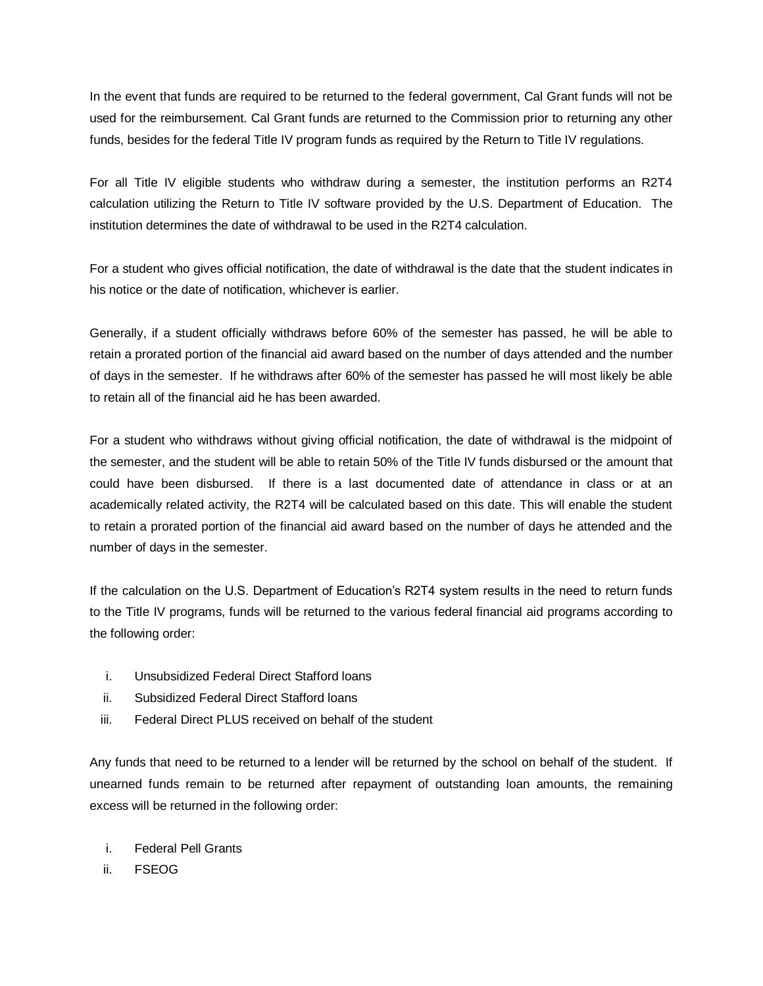In the event that funds are required to be returned to the federal government, Cal Grant funds will not be used for the reimbursement. Cal Grant funds are returned to the Commission prior to returning any other funds, besides for the federal Title IV program funds as required by the Return to Title IV regulations.

For all Title IV eligible students who withdraw during a semester, the institution performs an R2T4 calculation utilizing the Return to Title IV software provided by the U.S. Department of Education. The institution determines the date of withdrawal to be used in the R2T4 calculation.

For a student who gives official notification, the date of withdrawal is the date that the student indicates in his notice or the date of notification, whichever is earlier.

Generally, if a student officially withdraws before 60% of the semester has passed, he will be able to retain a prorated portion of the financial aid award based on the number of days attended and the number of days in the semester. If he withdraws after 60% of the semester has passed he will most likely be able to retain all of the financial aid he has been awarded.

For a student who withdraws without giving official notification, the date of withdrawal is the midpoint of the semester, and the student will be able to retain 50% of the Title IV funds disbursed or the amount that could have been disbursed. If there is a last documented date of attendance in class or at an academically related activity, the R2T4 will be calculated based on this date. This will enable the student to retain a prorated portion of the financial aid award based on the number of days he attended and the number of days in the semester.

If the calculation on the U.S. Department of Education's R2T4 system results in the need to return funds to the Title IV programs, funds will be returned to the various federal financial aid programs according to the following order:

- i. Unsubsidized Federal Direct Stafford loans
- ii. Subsidized Federal Direct Stafford loans
- iii. Federal Direct PLUS received on behalf of the student

Any funds that need to be returned to a lender will be returned by the school on behalf of the student. If unearned funds remain to be returned after repayment of outstanding loan amounts, the remaining excess will be returned in the following order:

- i. Federal Pell Grants
- ii. FSEOG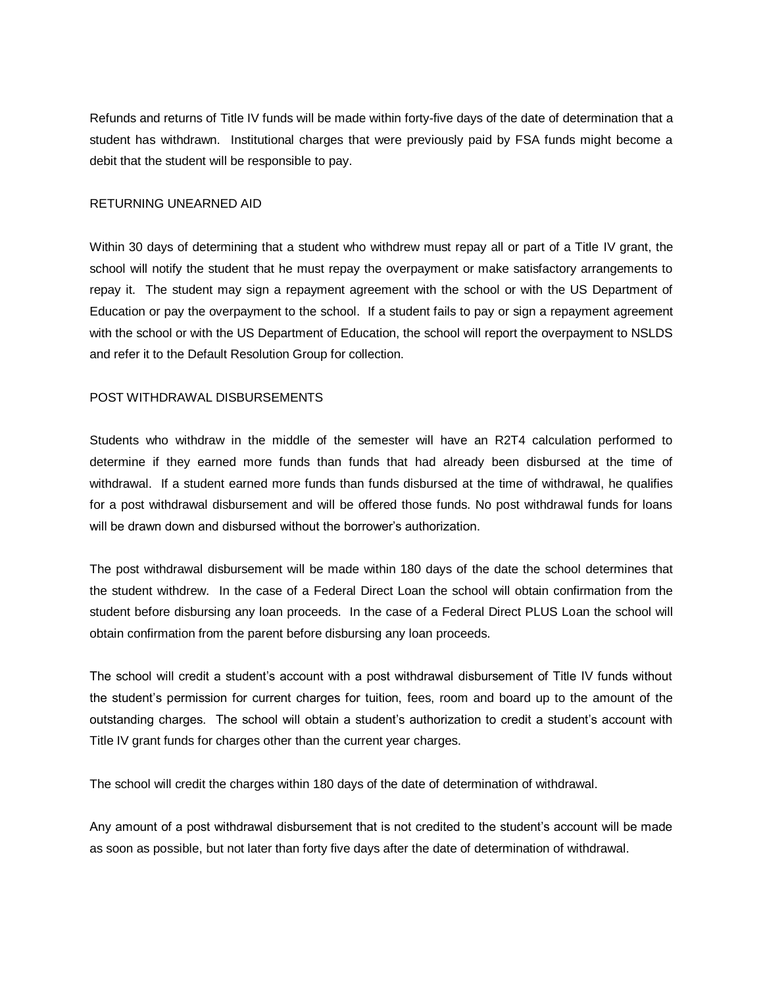Refunds and returns of Title IV funds will be made within forty-five days of the date of determination that a student has withdrawn. Institutional charges that were previously paid by FSA funds might become a debit that the student will be responsible to pay.

#### RETURNING UNEARNED AID

Within 30 days of determining that a student who withdrew must repay all or part of a Title IV grant, the school will notify the student that he must repay the overpayment or make satisfactory arrangements to repay it. The student may sign a repayment agreement with the school or with the US Department of Education or pay the overpayment to the school. If a student fails to pay or sign a repayment agreement with the school or with the US Department of Education, the school will report the overpayment to NSLDS and refer it to the Default Resolution Group for collection.

## POST WITHDRAWAL DISBURSEMENTS

Students who withdraw in the middle of the semester will have an R2T4 calculation performed to determine if they earned more funds than funds that had already been disbursed at the time of withdrawal. If a student earned more funds than funds disbursed at the time of withdrawal, he qualifies for a post withdrawal disbursement and will be offered those funds. No post withdrawal funds for loans will be drawn down and disbursed without the borrower's authorization.

The post withdrawal disbursement will be made within 180 days of the date the school determines that the student withdrew. In the case of a Federal Direct Loan the school will obtain confirmation from the student before disbursing any loan proceeds. In the case of a Federal Direct PLUS Loan the school will obtain confirmation from the parent before disbursing any loan proceeds.

The school will credit a student's account with a post withdrawal disbursement of Title IV funds without the student's permission for current charges for tuition, fees, room and board up to the amount of the outstanding charges. The school will obtain a student's authorization to credit a student's account with Title IV grant funds for charges other than the current year charges.

The school will credit the charges within 180 days of the date of determination of withdrawal.

Any amount of a post withdrawal disbursement that is not credited to the student's account will be made as soon as possible, but not later than forty five days after the date of determination of withdrawal.